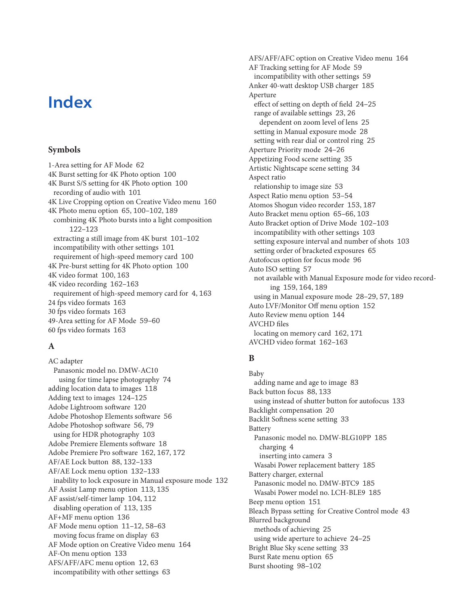# **Index**

#### **Symbols**

1-Area setting for AF Mode 62 4K Burst setting for 4K Photo option 100 4K Burst S/S setting for 4K Photo option 100 recording of audio with 101 4K Live Cropping option on Creative Video menu 160 4K Photo menu option 65, 100–102, 189 combining 4K Photo bursts into a light composition 122–123 extracting a still image from 4K burst 101–102 incompatibility with other settings 101 requirement of high-speed memory card 100 4K Pre-burst setting for 4K Photo option 100 4K video format 100, 163 4K video recording 162–163 requirement of high-speed memory card for 4, 163 24 fps video formats 163 30 fps video formats 163 49-Area setting for AF Mode 59–60 60 fps video formats 163

# **A**

AC adapter Panasonic model no. DMW-AC10 using for time lapse photography 74 adding location data to images 118 Adding text to images 124–125 Adobe Lightroom software 120 Adobe Photoshop Elements software 56 Adobe Photoshop software 56, 79 using for HDR photography 103 Adobe Premiere Elements software 18 Adobe Premiere Pro software 162, 167, 172 AF/AE Lock button 88, 132–133 AF/AE Lock menu option 132–133 inability to lock exposure in Manual exposure mode 132 AF Assist Lamp menu option 113, 135 AF assist/self-timer lamp 104, 112 disabling operation of 113, 135 AF+MF menu option 136 AF Mode menu option 11–12, 58–63 moving focus frame on display 63 AF Mode option on Creative Video menu 164 AF-On menu option 133 AFS/AFF/AFC menu option 12, 63 incompatibility with other settings 63

AFS/AFF/AFC option on Creative Video menu 164 AF Tracking setting for AF Mode 59 incompatibility with other settings 59 Anker 40-watt desktop USB charger 185 Aperture effect of setting on depth of field 24–25 range of available settings 23, 26 dependent on zoom level of lens 25 setting in Manual exposure mode 28 setting with rear dial or control ring 25 Aperture Priority mode 24–26 Appetizing Food scene setting 35 Artistic Nightscape scene setting 34 Aspect ratio relationship to image size 53 Aspect Ratio menu option 53–54 Atomos Shogun video recorder 153, 187 Auto Bracket menu option 65–66, 103 Auto Bracket option of Drive Mode 102–103 incompatibility with other settings 103 setting exposure interval and number of shots 103 setting order of bracketed exposures 65 Autofocus option for focus mode 96 Auto ISO setting 57 not available with Manual Exposure mode for video recording 159, 164, 189 using in Manual exposure mode 28–29, 57, 189 Auto LVF/Monitor Off menu option 152 Auto Review menu option 144 AVCHD files locating on memory card 162, 171 AVCHD video format 162–163

# **B**

Baby adding name and age to image 83 Back button focus 88, 133 using instead of shutter button for autofocus 133 Backlight compensation 20 Backlit Softness scene setting 33 Battery Panasonic model no. DMW-BLG10PP 185 charging 4 inserting into camera 3 Wasabi Power replacement battery 185 Battery charger, external Panasonic model no. DMW-BTC9 185 Wasabi Power model no. LCH-BLE9 185 Beep menu option 151 Bleach Bypass setting for Creative Control mode 43 Blurred background methods of achieving 25 using wide aperture to achieve 24–25 Bright Blue Sky scene setting 33 Burst Rate menu option 65 Burst shooting 98–102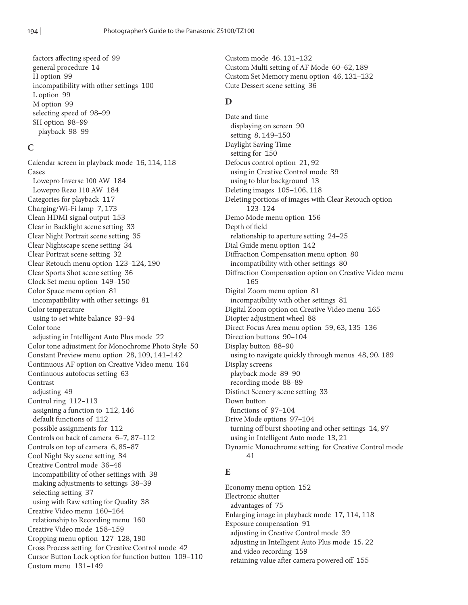factors affecting speed of 99 general procedure 14 H option 99 incompatibility with other settings 100 L option 99 M option 99 selecting speed of 98–99 SH option 98–99 playback 98–99

#### **C**

Calendar screen in playback mode 16, 114, 118 Cases Lowepro Inverse 100 AW 184 Lowepro Rezo 110 AW 184 Categories for playback 117 Charging/Wi-Fi lamp 7, 173 Clean HDMI signal output 153 Clear in Backlight scene setting 33 Clear Night Portrait scene setting 35 Clear Nightscape scene setting 34 Clear Portrait scene setting 32 Clear Retouch menu option 123–124, 190 Clear Sports Shot scene setting 36 Clock Set menu option 149–150 Color Space menu option 81 incompatibility with other settings 81 Color temperature using to set white balance 93–94 Color tone adjusting in Intelligent Auto Plus mode 22 Color tone adjustment for Monochrome Photo Style 50 Constant Preview menu option 28, 109, 141–142 Continuous AF option on Creative Video menu 164 Continuous autofocus setting 63 Contrast adjusting 49 Control ring 112–113 assigning a function to 112, 146 default functions of 112 possible assignments for 112 Controls on back of camera 6–7, 87–112 Controls on top of camera 6, 85–87 Cool Night Sky scene setting 34 Creative Control mode 36–46 incompatibility of other settings with 38 making adjustments to settings 38–39 selecting setting 37 using with Raw setting for Quality 38 Creative Video menu 160–164 relationship to Recording menu 160 Creative Video mode 158–159 Cropping menu option 127–128, 190 Cross Process setting for Creative Control mode 42 Cursor Button Lock option for function button 109–110 Custom menu 131–149

Custom mode 46, 131–132 Custom Multi setting of AF Mode 60–62, 189 Custom Set Memory menu option 46, 131–132 Cute Dessert scene setting 36

#### **D**

Date and time displaying on screen 90 setting 8, 149–150 Daylight Saving Time setting for 150 Defocus control option 21, 92 using in Creative Control mode 39 using to blur background 13 Deleting images 105–106, 118 Deleting portions of images with Clear Retouch option 123–124 Demo Mode menu option 156 Depth of field relationship to aperture setting 24–25 Dial Guide menu option 142 Diffraction Compensation menu option 80 incompatibility with other settings 80 Diffraction Compensation option on Creative Video menu 165 Digital Zoom menu option 81 incompatibility with other settings 81 Digital Zoom option on Creative Video menu 165 Diopter adjustment wheel 88 Direct Focus Area menu option 59, 63, 135–136 Direction buttons 90–104 Display button 88–90 using to navigate quickly through menus 48, 90, 189 Display screens playback mode 89–90 recording mode 88–89 Distinct Scenery scene setting 33 Down button functions of 97–104 Drive Mode options 97–104 turning off burst shooting and other settings 14, 97 using in Intelligent Auto mode 13, 21 Dynamic Monochrome setting for Creative Control mode 41

#### **E**

Economy menu option 152 Electronic shutter advantages of 75 Enlarging image in playback mode 17, 114, 118 Exposure compensation 91 adjusting in Creative Control mode 39 adjusting in Intelligent Auto Plus mode 15, 22 and video recording 159 retaining value after camera powered off 155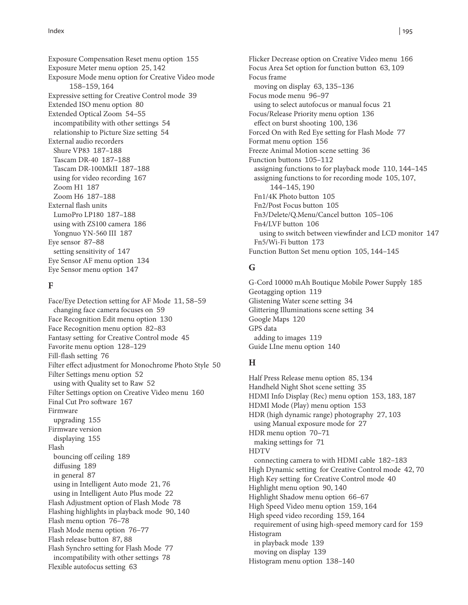Exposure Compensation Reset menu option 155 Exposure Meter menu option 25, 142 Exposure Mode menu option for Creative Video mode 158–159, 164 Expressive setting for Creative Control mode 39 Extended ISO menu option 80 Extended Optical Zoom 54–55 incompatibility with other settings 54 relationship to Picture Size setting 54 External audio recorders Shure VP83 187–188 Tascam DR-40 187–188 Tascam DR-100MkII 187–188 using for video recording 167 Zoom H1 187 Zoom H6 187–188 External flash units LumoPro LP180 187–188 using with ZS100 camera 186 Yongnuo YN-560 III 187 Eye sensor 87–88 setting sensitivity of 147 Eye Sensor AF menu option 134 Eye Sensor menu option 147

#### **F**

Face/Eye Detection setting for AF Mode 11, 58–59 changing face camera focuses on 59 Face Recognition Edit menu option 130 Face Recognition menu option 82–83 Fantasy setting for Creative Control mode 45 Favorite menu option 128–129 Fill-flash setting 76 Filter effect adjustment for Monochrome Photo Style 50 Filter Settings menu option 52 using with Quality set to Raw 52 Filter Settings option on Creative Video menu 160 Final Cut Pro software 167 Firmware upgrading 155 Firmware version displaying 155 Flash bouncing off ceiling 189 diffusing 189 in general 87 using in Intelligent Auto mode 21, 76 using in Intelligent Auto Plus mode 22 Flash Adjustment option of Flash Mode 78 Flashing highlights in playback mode 90, 140 Flash menu option 76–78 Flash Mode menu option 76–77 Flash release button 87, 88 Flash Synchro setting for Flash Mode 77 incompatibility with other settings 78 Flexible autofocus setting 63

Flicker Decrease option on Creative Video menu 166 Focus Area Set option for function button 63, 109 Focus frame moving on display 63, 135–136 Focus mode menu 96–97 using to select autofocus or manual focus 21 Focus/Release Priority menu option 136 effect on burst shooting 100, 136 Forced On with Red Eye setting for Flash Mode 77 Format menu option 156 Freeze Animal Motion scene setting 36 Function buttons 105–112 assigning functions to for playback mode 110, 144–145 assigning functions to for recording mode 105, 107, 144–145, 190 Fn1/4K Photo button 105 Fn2/Post Focus button 105 Fn3/Delete/Q.Menu/Cancel button 105–106 Fn4/LVF button 106 using to switch between viewfinder and LCD monitor 147 Fn5/Wi-Fi button 173 Function Button Set menu option 105, 144–145

## **G**

G-Cord 10000 mAh Boutique Mobile Power Supply 185 Geotagging option 119 Glistening Water scene setting 34 Glittering Illuminations scene setting 34 Google Maps 120 GPS data adding to images 119 Guide LIne menu option 140

## **H**

Half Press Release menu option 85, 134 Handheld Night Shot scene setting 35 HDMI Info Display (Rec) menu option 153, 183, 187 HDMI Mode (Play) menu option 153 HDR (high dynamic range) photography 27, 103 using Manual exposure mode for 27 HDR menu option 70–71 making settings for 71 HDTV connecting camera to with HDMI cable 182–183 High Dynamic setting for Creative Control mode 42, 70 High Key setting for Creative Control mode 40 Highlight menu option 90, 140 Highlight Shadow menu option 66–67 High Speed Video menu option 159, 164 High speed video recording 159, 164 requirement of using high-speed memory card for 159 Histogram in playback mode 139 moving on display 139 Histogram menu option 138–140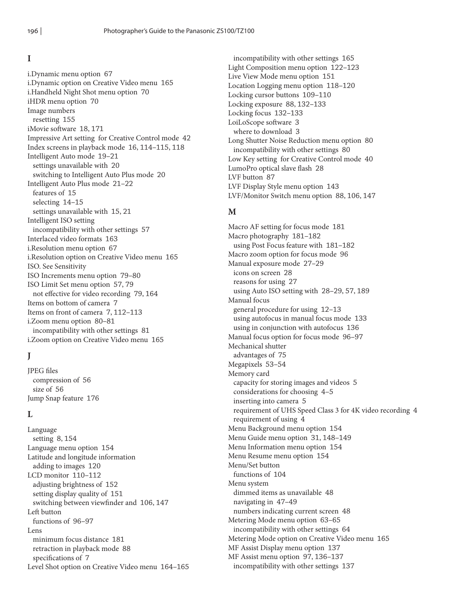#### **I**

i.Dynamic menu option 67 i.Dynamic option on Creative Video menu 165 i.Handheld Night Shot menu option 70 iHDR menu option 70 Image numbers resetting 155 iMovie software 18, 171 Impressive Art setting for Creative Control mode 42 Index screens in playback mode 16, 114–115, 118 Intelligent Auto mode 19–21 settings unavailable with 20 switching to Intelligent Auto Plus mode 20 Intelligent Auto Plus mode 21–22 features of 15 selecting 14–15 settings unavailable with 15, 21 Intelligent ISO setting incompatibility with other settings 57 Interlaced video formats 163 i.Resolution menu option 67 i.Resolution option on Creative Video menu 165 ISO. See Sensitivity ISO Increments menu option 79–80 ISO Limit Set menu option 57, 79 not effective for video recording 79, 164 Items on bottom of camera 7 Items on front of camera 7, 112–113 i.Zoom menu option 80–81 incompatibility with other settings 81 i.Zoom option on Creative Video menu 165

# **J**

JPEG files compression of 56 size of 56 Jump Snap feature 176

## **L**

Language setting 8, 154 Language menu option 154 Latitude and longitude information adding to images 120 LCD monitor 110–112 adjusting brightness of 152 setting display quality of 151 switching between viewfinder and 106, 147 Left button functions of 96–97 Lens minimum focus distance 181 retraction in playback mode 88 specifications of 7 Level Shot option on Creative Video menu 164–165

incompatibility with other settings 165 Light Composition menu option 122–123 Live View Mode menu option 151 Location Logging menu option 118–120 Locking cursor buttons 109–110 Locking exposure 88, 132–133 Locking focus 132–133 LoiLoScope software 3 where to download 3 Long Shutter Noise Reduction menu option 80 incompatibility with other settings 80 Low Key setting for Creative Control mode 40 LumoPro optical slave flash 28 LVF button 87 LVF Display Style menu option 143 LVF/Monitor Switch menu option 88, 106, 147

## **M**

Macro AF setting for focus mode 181 Macro photography 181–182 using Post Focus feature with 181–182 Macro zoom option for focus mode 96 Manual exposure mode 27–29 icons on screen 28 reasons for using 27 using Auto ISO setting with 28–29, 57, 189 Manual focus general procedure for using 12–13 using autofocus in manual focus mode 133 using in conjunction with autofocus 136 Manual focus option for focus mode 96–97 Mechanical shutter advantages of 75 Megapixels 53–54 Memory card capacity for storing images and videos 5 considerations for choosing 4–5 inserting into camera 5 requirement of UHS Speed Class 3 for 4K video recording 4 requirement of using 4 Menu Background menu option 154 Menu Guide menu option 31, 148–149 Menu Information menu option 154 Menu Resume menu option 154 Menu/Set button functions of 104 Menu system dimmed items as unavailable 48 navigating in 47–49 numbers indicating current screen 48 Metering Mode menu option 63–65 incompatibility with other settings 64 Metering Mode option on Creative Video menu 165 MF Assist Display menu option 137 MF Assist menu option 97, 136–137 incompatibility with other settings 137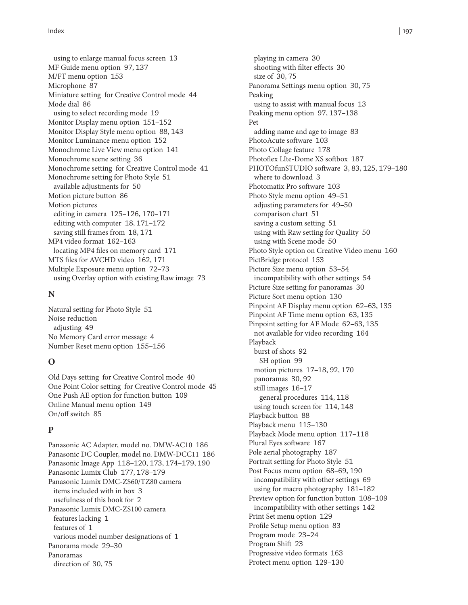using to enlarge manual focus screen 13 MF Guide menu option 97, 137 M/FT menu option 153 Microphone 87 Miniature setting for Creative Control mode 44 Mode dial 86 using to select recording mode 19 Monitor Display menu option 151–152 Monitor Display Style menu option 88, 143 Monitor Luminance menu option 152 Monochrome Live View menu option 141 Monochrome scene setting 36 Monochrome setting for Creative Control mode 41 Monochrome setting for Photo Style 51 available adjustments for 50 Motion picture button 86 Motion pictures editing in camera 125–126, 170–171 editing with computer 18, 171–172 saving still frames from 18, 171 MP4 video format 162–163 locating MP4 files on memory card 171 MTS files for AVCHD video 162, 171 Multiple Exposure menu option 72–73 using Overlay option with existing Raw image 73

#### **N**

Natural setting for Photo Style 51 Noise reduction adjusting 49 No Memory Card error message 4 Number Reset menu option 155–156

#### **O**

Old Days setting for Creative Control mode 40 One Point Color setting for Creative Control mode 45 One Push AE option for function button 109 Online Manual menu option 149 On/off switch 85

## **P**

Panasonic AC Adapter, model no. DMW-AC10 186 Panasonic DC Coupler, model no. DMW-DCC11 186 Panasonic Image App 118–120, 173, 174–179, 190 Panasonic Lumix Club 177, 178–179 Panasonic Lumix DMC-ZS60/TZ80 camera items included with in box 3 usefulness of this book for 2 Panasonic Lumix DMC-ZS100 camera features lacking 1 features of 1 various model number designations of 1 Panorama mode 29–30 Panoramas direction of 30, 75

playing in camera 30 shooting with filter effects 30 size of 30, 75 Panorama Settings menu option 30, 75 Peaking using to assist with manual focus 13 Peaking menu option 97, 137–138 Pet adding name and age to image 83 PhotoAcute software 103 Photo Collage feature 178 Photoflex LIte-Dome XS softbox 187 PHOTOfunSTUDIO software 3, 83, 125, 179–180 where to download 3 Photomatix Pro software 103 Photo Style menu option 49–51 adjusting parameters for 49–50 comparison chart 51 saving a custom setting 51 using with Raw setting for Quality 50 using with Scene mode 50 Photo Style option on Creative Video menu 160 PictBridge protocol 153 Picture Size menu option 53–54 incompatibility with other settings 54 Picture Size setting for panoramas 30 Picture Sort menu option 130 Pinpoint AF Display menu option 62–63, 135 Pinpoint AF Time menu option 63, 135 Pinpoint setting for AF Mode 62–63, 135 not available for video recording 164 Playback burst of shots 92 SH option 99 motion pictures 17–18, 92, 170 panoramas 30, 92 still images 16–17 general procedures 114, 118 using touch screen for 114, 148 Playback button 88 Playback menu 115–130 Playback Mode menu option 117–118 Plural Eyes software 167 Pole aerial photography 187 Portrait setting for Photo Style 51 Post Focus menu option 68–69, 190 incompatibility with other settings 69 using for macro photography 181–182 Preview option for function button 108–109 incompatibility with other settings 142 Print Set menu option 129 Profile Setup menu option 83 Program mode 23–24 Program Shift 23 Progressive video formats 163 Protect menu option 129–130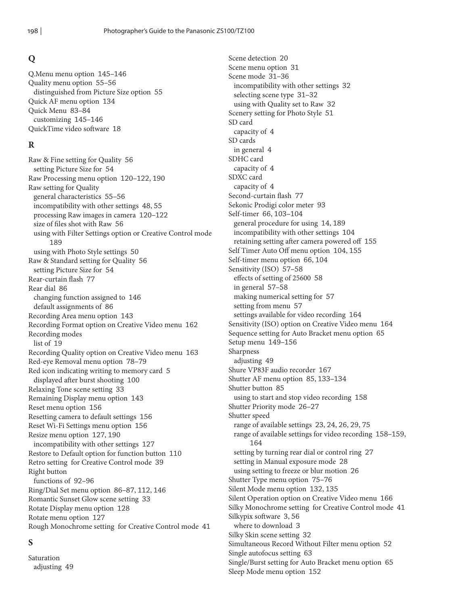# **Q**

Q.Menu menu option 145–146 Quality menu option 55–56 distinguished from Picture Size option 55 Quick AF menu option 134 Quick Menu 83–84 customizing 145–146 QuickTime video software 18

# **R**

Raw & Fine setting for Quality 56 setting Picture Size for 54 Raw Processing menu option 120–122, 190 Raw setting for Quality general characteristics 55–56 incompatibility with other settings 48, 55 processing Raw images in camera 120–122 size of files shot with Raw 56 using with Filter Settings option or Creative Control mode 189 using with Photo Style settings 50 Raw & Standard setting for Quality 56 setting Picture Size for 54 Rear-curtain flash 77 Rear dial 86 changing function assigned to 146 default assignments of 86 Recording Area menu option 143 Recording Format option on Creative Video menu 162 Recording modes list of 19 Recording Quality option on Creative Video menu 163 Red-eye Removal menu option 78–79 Red icon indicating writing to memory card 5 displayed after burst shooting 100 Relaxing Tone scene setting 33 Remaining Display menu option 143 Reset menu option 156 Resetting camera to default settings 156 Reset Wi-Fi Settings menu option 156 Resize menu option 127, 190 incompatibility with other settings 127 Restore to Default option for function button 110 Retro setting for Creative Control mode 39 Right button functions of 92–96 Ring/Dial Set menu option 86–87, 112, 146 Romantic Sunset Glow scene setting 33 Rotate Display menu option 128 Rotate menu option 127 Rough Monochrome setting for Creative Control mode 41

## **S**

Saturation adjusting 49 Scene detection 20 Scene menu option 31 Scene mode 31–36 incompatibility with other settings 32 selecting scene type 31–32 using with Quality set to Raw 32 Scenery setting for Photo Style 51 SD card capacity of 4 SD cards in general 4 SDHC card capacity of 4 SDXC card capacity of 4 Second-curtain flash 77 Sekonic Prodigi color meter 93 Self-timer 66, 103–104 general procedure for using 14, 189 incompatibility with other settings 104 retaining setting after camera powered off 155 Self Timer Auto Off menu option 104, 155 Self-timer menu option 66, 104 Sensitivity (ISO) 57–58 effects of setting of 25600 58 in general 57–58 making numerical setting for 57 setting from menu 57 settings available for video recording 164 Sensitivity (ISO) option on Creative Video menu 164 Sequence setting for Auto Bracket menu option 65 Setup menu 149–156 Sharpness adjusting 49 Shure VP83F audio recorder 167 Shutter AF menu option 85, 133–134 Shutter button 85 using to start and stop video recording 158 Shutter Priority mode 26–27 Shutter speed range of available settings 23, 24, 26, 29, 75 range of available settings for video recording 158–159, 164 setting by turning rear dial or control ring 27 setting in Manual exposure mode 28 using setting to freeze or blur motion 26 Shutter Type menu option 75–76 Silent Mode menu option 132, 135 Silent Operation option on Creative Video menu 166 Silky Monochrome setting for Creative Control mode 41 Silkypix software 3, 56 where to download 3 Silky Skin scene setting 32 Simultaneous Record Without Filter menu option 52 Single autofocus setting 63 Single/Burst setting for Auto Bracket menu option 65 Sleep Mode menu option 152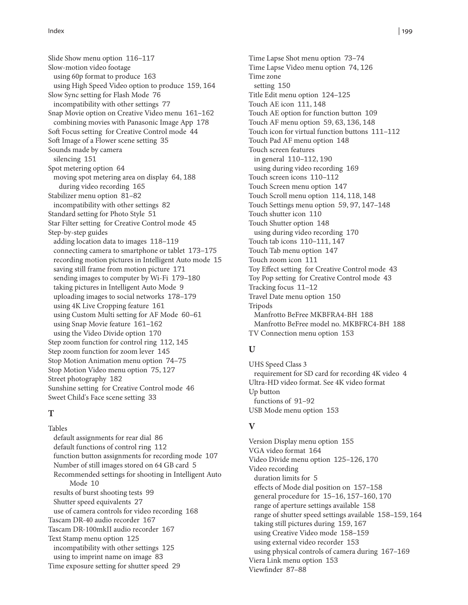Slide Show menu option 116–117 Slow-motion video footage using 60p format to produce 163 using High Speed Video option to produce 159, 164 Slow Sync setting for Flash Mode 76 incompatibility with other settings 77 Snap Movie option on Creative Video menu 161–162 combining movies with Panasonic Image App 178 Soft Focus setting for Creative Control mode 44 Soft Image of a Flower scene setting 35 Sounds made by camera silencing 151 Spot metering option 64 moving spot metering area on display 64, 188 during video recording 165 Stabilizer menu option 81–82 incompatibility with other settings 82 Standard setting for Photo Style 51 Star Filter setting for Creative Control mode 45 Step-by-step guides adding location data to images 118–119 connecting camera to smartphone or tablet 173–175 recording motion pictures in Intelligent Auto mode 15 saving still frame from motion picture 171 sending images to computer by Wi-Fi 179–180 taking pictures in Intelligent Auto Mode 9 uploading images to social networks 178–179 using 4K Live Cropping feature 161 using Custom Multi setting for AF Mode 60–61 using Snap Movie feature 161–162 using the Video Divide option 170 Step zoom function for control ring 112, 145 Step zoom function for zoom lever 145 Stop Motion Animation menu option 74–75 Stop Motion Video menu option 75, 127 Street photography 182 Sunshine setting for Creative Control mode 46 Sweet Child's Face scene setting 33

## **T**

Tables default assignments for rear dial 86 default functions of control ring 112 function button assignments for recording mode 107 Number of still images stored on 64 GB card 5 Recommended settings for shooting in Intelligent Auto Mode 10 results of burst shooting tests 99 Shutter speed equivalents 27 use of camera controls for video recording 168 Tascam DR-40 audio recorder 167 Tascam DR-100mkII audio recorder 167 Text Stamp menu option 125 incompatibility with other settings 125 using to imprint name on image 83 Time exposure setting for shutter speed 29

Time Lapse Shot menu option 73–74 Time Lapse Video menu option 74, 126 Time zone setting 150 Title Edit menu option 124–125 Touch AE icon 111, 148 Touch AE option for function button 109 Touch AF menu option 59, 63, 136, 148 Touch icon for virtual function buttons 111–112 Touch Pad AF menu option 148 Touch screen features in general 110–112, 190 using during video recording 169 Touch screen icons 110–112 Touch Screen menu option 147 Touch Scroll menu option 114, 118, 148 Touch Settings menu option 59, 97, 147–148 Touch shutter icon 110 Touch Shutter option 148 using during video recording 170 Touch tab icons 110–111, 147 Touch Tab menu option 147 Touch zoom icon 111 Toy Effect setting for Creative Control mode 43 Toy Pop setting for Creative Control mode 43 Tracking focus 11–12 Travel Date menu option 150 Tripods Manfrotto BeFree MKBFRA4-BH 188 Manfrotto BeFree model no. MKBFRC4-BH 188 TV Connection menu option 153

# **U**

UHS Speed Class 3 requirement for SD card for recording 4K video 4 Ultra-HD video format. See 4K video format Up button functions of 91–92 USB Mode menu option 153

## **V**

Version Display menu option 155 VGA video format 164 Video Divide menu option 125–126, 170 Video recording duration limits for 5 effects of Mode dial position on 157–158 general procedure for 15–16, 157–160, 170 range of aperture settings available 158 range of shutter speed settings available 158–159, 164 taking still pictures during 159, 167 using Creative Video mode 158–159 using external video recorder 153 using physical controls of camera during 167–169 Viera Link menu option 153 Viewfinder 87–88